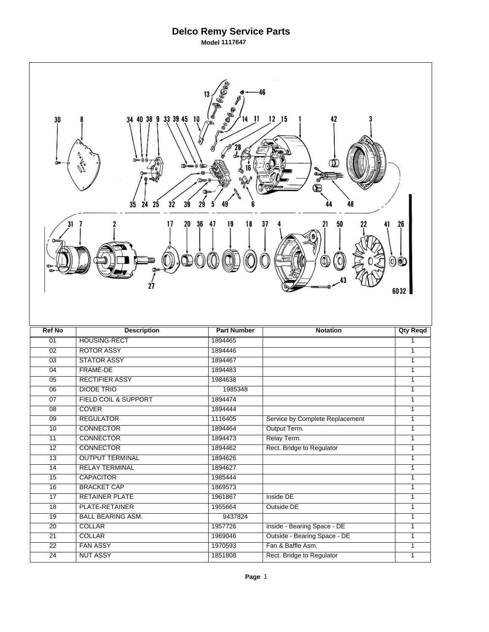## **Delco Remy Service Parts**

**Model 1117647** 

 $\Gamma$ 

| Bees<br>46<br><b>FRANCE</b><br>34 40 38 9 33 39 45 10<br>$12$ $15$<br>42<br>11<br>30<br>00——000<br>ሙ≖<br>35<br>24<br>25<br>48<br>32<br>39 |                                  |                    |                                                   |                   |  |  |
|-------------------------------------------------------------------------------------------------------------------------------------------|----------------------------------|--------------------|---------------------------------------------------|-------------------|--|--|
| 31<br>36<br>47<br>19<br>18<br>37<br>50<br>17<br>20<br>26<br>Œш<br>$\overline{\mathbb{O}}$<br>00<br>6032                                   |                                  |                    |                                                   |                   |  |  |
|                                                                                                                                           |                                  |                    |                                                   |                   |  |  |
| <b>Ref No</b>                                                                                                                             | <b>Description</b>               | <b>Part Number</b> | <b>Notation</b>                                   | <b>Qty Reqd</b>   |  |  |
| 01                                                                                                                                        | <b>HOUSING-RECT</b>              | 1894465            |                                                   | 1                 |  |  |
| 02                                                                                                                                        | <b>ROTOR ASSY</b>                | 1894446            |                                                   | $\overline{1}$    |  |  |
| $\overline{03}$                                                                                                                           | <b>STATOR ASSY</b>               | 1894467            |                                                   | $\mathbf{1}$      |  |  |
| $\overline{04}$                                                                                                                           | FRAME-DE                         | 1894483            |                                                   | $\overline{1}$    |  |  |
| 05                                                                                                                                        | <b>RECTIFIER ASSY</b>            | 1984638            |                                                   | $\mathbf{1}$      |  |  |
| $\overline{06}$                                                                                                                           | <b>DIODE TRIO</b>                | 1985348            |                                                   | 1                 |  |  |
| 07                                                                                                                                        | FIELD COIL & SUPPORT             | 1894474            |                                                   | 1                 |  |  |
| 08                                                                                                                                        | <b>COVER</b>                     | 1894444            |                                                   | 1                 |  |  |
| $\overline{09}$                                                                                                                           | <b>REGULATOR</b>                 | 1116405            | Service by Complete Replacement                   | 1                 |  |  |
| 10                                                                                                                                        | <b>CONNECTOR</b>                 | 1894464            | Output Term.                                      | 1                 |  |  |
| 11                                                                                                                                        | <b>CONNECTOR</b>                 | 1894473            | Relay Term.                                       | $\mathbf{1}$      |  |  |
| $\overline{12}$                                                                                                                           | <b>CONNECTOR</b>                 | 1894462            | Rect. Bridge to Regulator                         | 1                 |  |  |
| 13                                                                                                                                        | <b>OUTPUT TERMINAL</b>           | 1894626            |                                                   | 1                 |  |  |
| 14                                                                                                                                        | <b>RELAY TERMINAL</b>            | 1894627            |                                                   | 1                 |  |  |
| $\overline{15}$                                                                                                                           | <b>CAPACITOR</b>                 | 1985444            |                                                   | 1                 |  |  |
| 16                                                                                                                                        | <b>BRACKET CAP</b>               | 1869573            |                                                   | $\overline{1}$    |  |  |
| $\overline{17}$                                                                                                                           | <b>RETAINER PLATE</b>            | 1961867            | Inside DE                                         | $\mathbf{1}$      |  |  |
| $\overline{18}$                                                                                                                           | PLATE-RETAINER                   | 1955664            | Outside DE                                        | 1                 |  |  |
| 19                                                                                                                                        | <b>BALL BEARING ASM.</b>         | 9437824            |                                                   | 1                 |  |  |
| $\overline{20}$                                                                                                                           | <b>COLLAR</b>                    | 1957726            | Inside - Bearing Space - DE                       | 1                 |  |  |
| $\overline{21}$<br>$\overline{22}$                                                                                                        | <b>COLLAR</b><br><b>FAN ASSY</b> | 1969046<br>1970593 | Outside - Bearing Space - DE<br>Fan & Baffle Asm. | 1<br>$\mathbf{1}$ |  |  |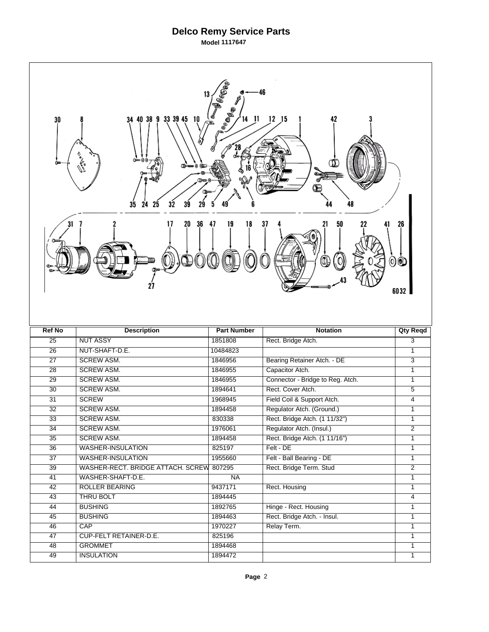## **Delco Remy Service Parts**

**Model 1117647** 

| Bega<br><b>Lee Base</b><br>34 40 38 9 33 39 45 10<br>$12$ $15$<br>14 11<br>42<br>30<br>முட்டமை இ<br>ሙ<br>টোত<br>35<br>24<br>25<br>32<br>48 |                                          |                    |                                  |                                |  |  |
|--------------------------------------------------------------------------------------------------------------------------------------------|------------------------------------------|--------------------|----------------------------------|--------------------------------|--|--|
| 36<br>31<br>20<br>47<br>19<br>18<br>37<br>50<br>21<br>26<br>00<br>6032                                                                     |                                          |                    |                                  |                                |  |  |
|                                                                                                                                            |                                          |                    |                                  |                                |  |  |
| <b>Ref No</b>                                                                                                                              | <b>Description</b>                       | <b>Part Number</b> | <b>Notation</b>                  | <b>Qty Reqd</b>                |  |  |
| $\overline{25}$                                                                                                                            | <b>NUT ASSY</b>                          | 1851808            | Rect. Bridge Atch.               | 3                              |  |  |
| $\overline{26}$                                                                                                                            | NUT-SHAFT-D.E.                           | 10484823           |                                  | $\overline{1}$                 |  |  |
| $\overline{27}$                                                                                                                            | <b>SCREW ASM.</b>                        | 1846956            | Bearing Retainer Atch. - DE      | $\overline{\overline{3}}$      |  |  |
| $\overline{28}$                                                                                                                            | <b>SCREW ASM.</b>                        | 1846955            | Capacitor Atch.                  | $\overline{1}$                 |  |  |
| 29                                                                                                                                         | <b>SCREW ASM.</b>                        | 1846955            | Connector - Bridge to Reg. Atch. | $\mathbf{1}$                   |  |  |
| $\overline{30}$                                                                                                                            | <b>SCREW ASM.</b>                        | 1894641            | Rect. Cover Atch.                | $\overline{5}$                 |  |  |
| 31                                                                                                                                         | <b>SCREW</b>                             | 1968945            | Field Coil & Support Atch.       | $\overline{4}$                 |  |  |
| 32                                                                                                                                         | <b>SCREW ASM.</b>                        | 1894458            | Regulator Atch. (Ground.)        | 1                              |  |  |
| $\overline{33}$                                                                                                                            | <b>SCREW ASM.</b>                        | 830338             | Rect. Bridge Atch. (1 11/32")    | $\mathbf{1}$                   |  |  |
| 34                                                                                                                                         | <b>SCREW ASM.</b>                        | 1976061            | Regulator Atch. (Insul.)         | $\overline{2}$<br>$\mathbf{1}$ |  |  |
| 35                                                                                                                                         | <b>SCREW ASM.</b>                        | 1894458            | Rect. Bridge Atch. (1 11/16")    | $\mathbf{1}$                   |  |  |
| $\overline{36}$                                                                                                                            | <b>WASHER-INSULATION</b>                 | 825197             | Felt - DE                        |                                |  |  |
| $\overline{37}$                                                                                                                            | <b>WASHER-INSULATION</b>                 | 1955660            | Felt - Ball Bearing - DE         | $\mathbf{1}$                   |  |  |
| 39                                                                                                                                         | WASHER-RECT. BRIDGE ATTACH. SCREW        | 807295             | Rect. Bridge Term. Stud          | $\overline{2}$<br>1            |  |  |
| 41                                                                                                                                         | WASHER-SHAFT-D.E.                        | <b>NA</b>          |                                  | $\mathbf{1}$                   |  |  |
| 42                                                                                                                                         | <b>ROLLER BEARING</b>                    | 9437171            | Rect. Housing                    |                                |  |  |
| $\overline{43}$                                                                                                                            | <b>THRU BOLT</b>                         | 1894445            |                                  | $\overline{4}$                 |  |  |
| 44                                                                                                                                         | <b>BUSHING</b>                           | 1892765            | Hinge - Rect. Housing            | 1                              |  |  |
| 45                                                                                                                                         | <b>BUSHING</b>                           | 1894463            | Rect. Bridge Atch. - Insul.      | $\mathbf{1}$<br>1              |  |  |
| $\overline{46}$                                                                                                                            | CAP                                      | 1970227            | Relay Term.                      | 1                              |  |  |
| 47<br>48                                                                                                                                   | CUP-FELT RETAINER-D.E.<br><b>GROMMET</b> | 825196<br>1894468  |                                  | $\mathbf{1}$                   |  |  |